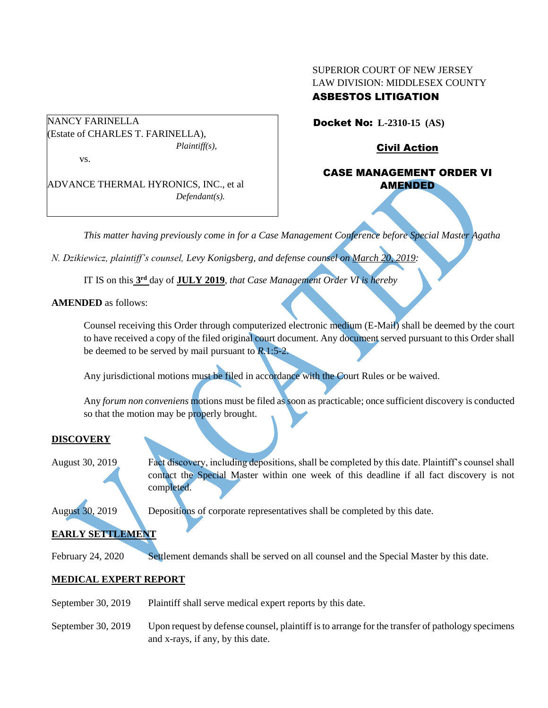## SUPERIOR COURT OF NEW JERSEY LAW DIVISION: MIDDLESEX COUNTY ASBESTOS LITIGATION

Docket No: **L-2310-15 (AS)** 

Civil Action

# CASE MANAGEMENT ORDER VI AMENDED

ADVANCE THERMAL HYRONICS, INC., et al *Defendant(s).*

*Plaintiff(s),*

(Estate of CHARLES T. FARINELLA),

*This matter having previously come in for a Case Management Conference before Special Master Agatha* 

*N. Dzikiewicz, plaintiff's counsel, Levy Konigsberg, and defense counsel on March 20, 2019:*

IT IS on this **3 rd** day of **JULY 2019**, *that Case Management Order VI is hereby*

**AMENDED** as follows:

NANCY FARINELLA

vs.

Counsel receiving this Order through computerized electronic medium (E-Mail) shall be deemed by the court to have received a copy of the filed original court document. Any document served pursuant to this Order shall be deemed to be served by mail pursuant to *R*.1:5-2.

Any jurisdictional motions must be filed in accordance with the Court Rules or be waived.

Any *forum non conveniens* motions must be filed as soon as practicable; once sufficient discovery is conducted so that the motion may be properly brought.

## **DISCOVERY**

August 30, 2019 Fact discovery, including depositions, shall be completed by this date. Plaintiff's counsel shall contact the Special Master within one week of this deadline if all fact discovery is not completed.

August 30, 2019 Depositions of corporate representatives shall be completed by this date.

# **EARLY SETTLEMENT**

February 24, 2020 Settlement demands shall be served on all counsel and the Special Master by this date.

## **MEDICAL EXPERT REPORT**

- September 30, 2019 Plaintiff shall serve medical expert reports by this date.
- September 30, 2019 Upon request by defense counsel, plaintiff is to arrange for the transfer of pathology specimens and x-rays, if any, by this date.